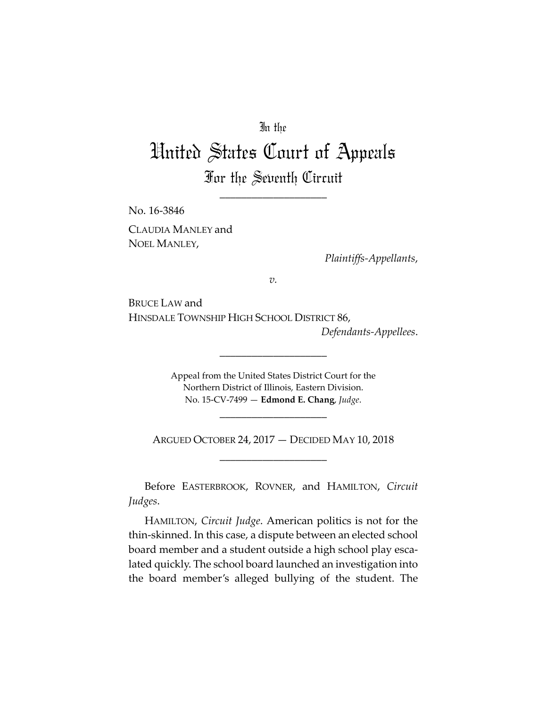# In the

# United States Court of Appeals For the Seventh Circuit

\_\_\_\_\_\_\_\_\_\_\_\_\_\_\_\_\_\_\_\_

No. 16‐3846 CLAUDIA MANLEY and NOEL MANLEY,

*Plaintiffs‐Appellants*,

*v.*

BRUCE LAW and HINSDALE TOWNSHIP HIGH SCHOOL DISTRICT 86, *Defendants‐Appellees*.

> Appeal from the United States District Court for the Northern District of Illinois, Eastern Division. No. 15‐CV‐7499 — **Edmond E. Chang**, *Judge*.

\_\_\_\_\_\_\_\_\_\_\_\_\_\_\_\_\_\_\_\_

ARGUED OCTOBER 24, 2017 — DECIDED MAY 10, 2018 \_\_\_\_\_\_\_\_\_\_\_\_\_\_\_\_\_\_\_\_

\_\_\_\_\_\_\_\_\_\_\_\_\_\_\_\_\_\_\_\_

Before EASTERBROOK, ROVNER, and HAMILTON, *Circuit Judges*.

HAMILTON, *Circuit Judge*. American politics is not for the thin‐skinned. In this case, a dispute between an elected school board member and a student outside a high school play esca‐ lated quickly. The school board launched an investigation into the board member's alleged bullying of the student. The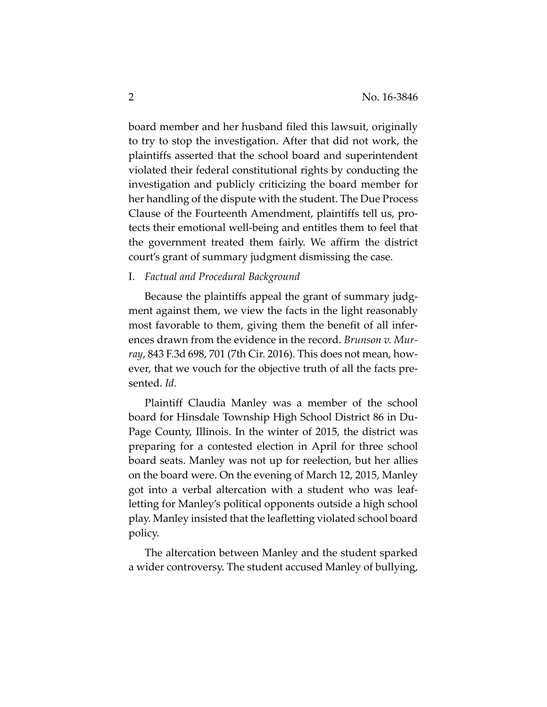board member and her husband filed this lawsuit, originally to try to stop the investigation. After that did not work, the plaintiffs asserted that the school board and superintendent violated their federal constitutional rights by conducting the investigation and publicly criticizing the board member for her handling of the dispute with the student. The Due Process Clause of the Fourteenth Amendment, plaintiffs tell us, pro‐ tects their emotional well‐being and entitles them to feel that the government treated them fairly. We affirm the district court's grant of summary judgment dismissing the case.

I. *Factual and Procedural Background*

Because the plaintiffs appeal the grant of summary judgment against them, we view the facts in the light reasonably most favorable to them, giving them the benefit of all inferences drawn from the evidence in the record. *Brunson v. Mur‐ ray*, 843 F.3d 698, 701 (7th Cir. 2016). This does not mean, how‐ ever, that we vouch for the objective truth of all the facts pre‐ sented. *Id.*

Plaintiff Claudia Manley was a member of the school board for Hinsdale Township High School District 86 in Du‐ Page County, Illinois. In the winter of 2015, the district was preparing for a contested election in April for three school board seats. Manley was not up for reelection, but her allies on the board were. On the evening of March 12, 2015, Manley got into a verbal altercation with a student who was leaf‐ letting for Manley's political opponents outside a high school play. Manley insisted that the leafletting violated school board policy.

The altercation between Manley and the student sparked a wider controversy. The student accused Manley of bullying,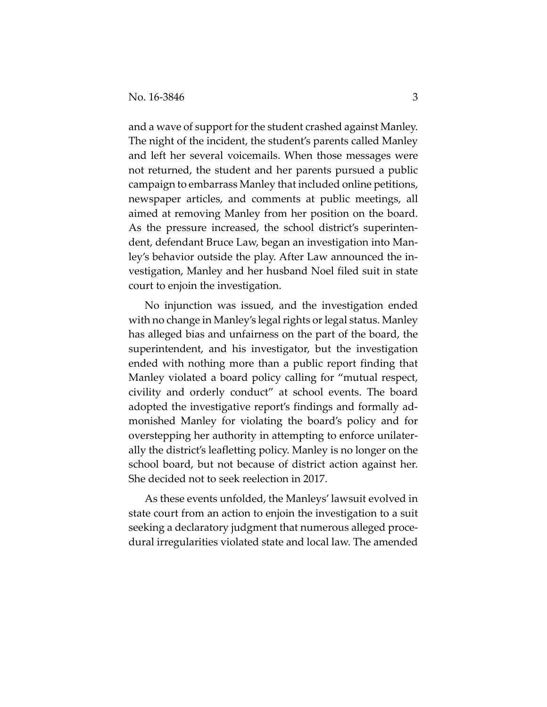and a wave of support for the student crashed against Manley. The night of the incident, the student's parents called Manley and left her several voicemails. When those messages were not returned, the student and her parents pursued a public campaign to embarrass Manley that included online petitions, newspaper articles, and comments at public meetings, all aimed at removing Manley from her position on the board. As the pressure increased, the school district's superinten‐ dent, defendant Bruce Law, began an investigation into Man‐ ley's behavior outside the play. After Law announced the in‐ vestigation, Manley and her husband Noel filed suit in state court to enjoin the investigation.

No injunction was issued, and the investigation ended with no change in Manley's legal rights or legal status. Manley has alleged bias and unfairness on the part of the board, the superintendent, and his investigator, but the investigation ended with nothing more than a public report finding that Manley violated a board policy calling for "mutual respect, civility and orderly conduct" at school events. The board adopted the investigative report's findings and formally ad‐ monished Manley for violating the board's policy and for overstepping her authority in attempting to enforce unilater‐ ally the district's leafletting policy. Manley is no longer on the school board, but not because of district action against her. She decided not to seek reelection in 2017.

As these events unfolded, the Manleys' lawsuit evolved in state court from an action to enjoin the investigation to a suit seeking a declaratory judgment that numerous alleged procedural irregularities violated state and local law. The amended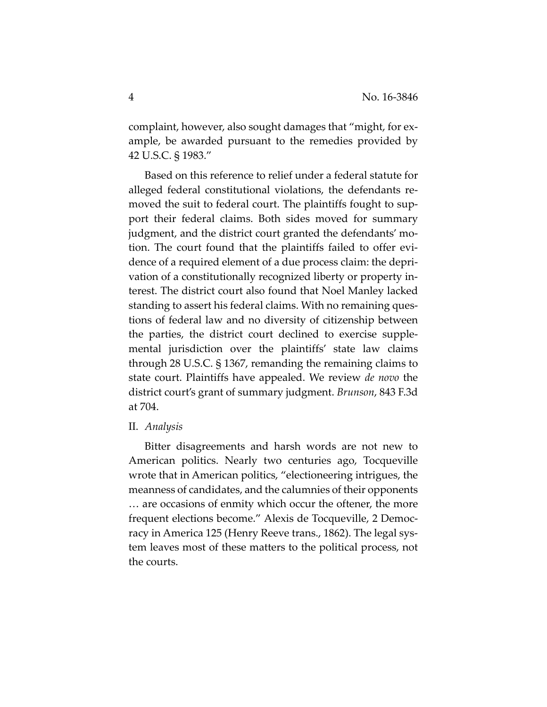complaint, however, also sought damages that "might, for ex‐ ample, be awarded pursuant to the remedies provided by 42 U.S.C. § 1983."

Based on this reference to relief under a federal statute for alleged federal constitutional violations, the defendants re‐ moved the suit to federal court. The plaintiffs fought to sup‐ port their federal claims. Both sides moved for summary judgment, and the district court granted the defendants' mo‐ tion. The court found that the plaintiffs failed to offer evi‐ dence of a required element of a due process claim: the depri‐ vation of a constitutionally recognized liberty or property in‐ terest. The district court also found that Noel Manley lacked standing to assert his federal claims. With no remaining ques‐ tions of federal law and no diversity of citizenship between the parties, the district court declined to exercise supple‐ mental jurisdiction over the plaintiffs' state law claims through 28 U.S.C. § 1367, remanding the remaining claims to state court. Plaintiffs have appealed. We review *de novo* the district court's grant of summary judgment. *Brunson*, 843 F.3d at 704.

## II. *Analysis*

Bitter disagreements and harsh words are not new to American politics. Nearly two centuries ago, Tocqueville wrote that in American politics, "electioneering intrigues, the meanness of candidates, and the calumnies of their opponents … are occasions of enmity which occur the oftener, the more frequent elections become." Alexis de Tocqueville, 2 Democ‐ racy in America 125 (Henry Reeve trans., 1862). The legal sys‐ tem leaves most of these matters to the political process, not the courts.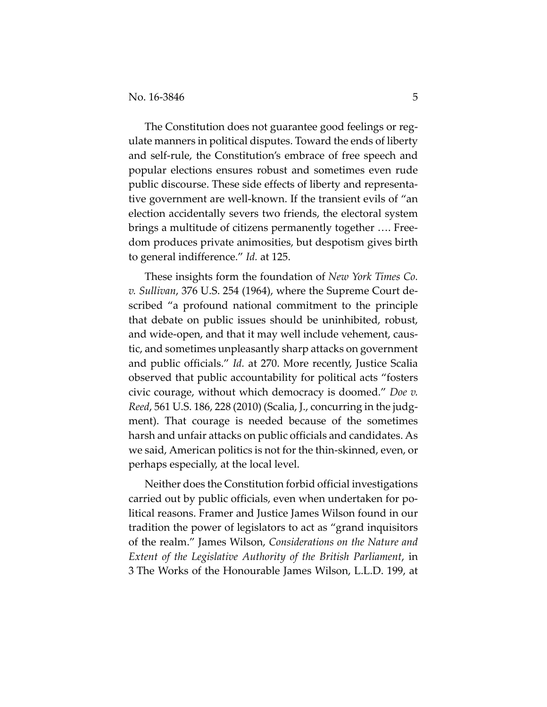The Constitution does not guarantee good feelings or regulate manners in political disputes. Toward the ends of liberty and self‐rule, the Constitution's embrace of free speech and popular elections ensures robust and sometimes even rude public discourse. These side effects of liberty and representa‐ tive government are well‐known. If the transient evils of "an election accidentally severs two friends, the electoral system brings a multitude of citizens permanently together …. Free‐ dom produces private animosities, but despotism gives birth to general indifference." *Id.* at 125.

These insights form the foundation of *New York Times Co. v. Sullivan*, 376 U.S. 254 (1964), where the Supreme Court de‐ scribed "a profound national commitment to the principle that debate on public issues should be uninhibited, robust, and wide‐open, and that it may well include vehement, caus‐ tic, and sometimes unpleasantly sharp attacks on government and public officials." *Id.* at 270. More recently, Justice Scalia observed that public accountability for political acts "fosters civic courage, without which democracy is doomed." *Doe v. Reed*, 561 U.S. 186, 228 (2010) (Scalia, J., concurring in the judg‐ ment). That courage is needed because of the sometimes harsh and unfair attacks on public officials and candidates. As we said, American politics is not for the thin‐skinned, even, or perhaps especially, at the local level.

Neither does the Constitution forbid official investigations carried out by public officials, even when undertaken for po‐ litical reasons. Framer and Justice James Wilson found in our tradition the power of legislators to act as "grand inquisitors of the realm." James Wilson, *Considerations on the Nature and Extent of the Legislative Authority of the British Parliament*, in 3 The Works of the Honourable James Wilson, L.L.D. 199, at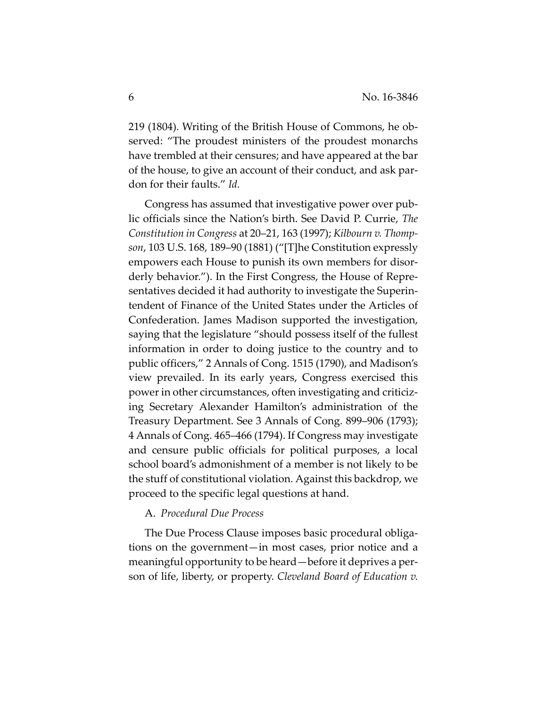219 (1804). Writing of the British House of Commons, he ob‐ served: "The proudest ministers of the proudest monarchs have trembled at their censures; and have appeared at the bar of the house, to give an account of their conduct, and ask par‐ don for their faults." *Id.*

Congress has assumed that investigative power over pub‐ lic officials since the Nation's birth. See David P. Currie, *The Constitution in Congress* at 20–21, 163 (1997); *Kilbourn v. Thomp‐ son*, 103 U.S. 168, 189–90 (1881) ("[T]he Constitution expressly empowers each House to punish its own members for disor‐ derly behavior."). In the First Congress, the House of Repre‐ sentatives decided it had authority to investigate the Superin‐ tendent of Finance of the United States under the Articles of Confederation. James Madison supported the investigation, saying that the legislature "should possess itself of the fullest information in order to doing justice to the country and to public officers," 2 Annals of Cong. 1515 (1790), and Madison's view prevailed. In its early years, Congress exercised this power in other circumstances, often investigating and criticiz‐ ing Secretary Alexander Hamilton's administration of the Treasury Department. See 3 Annals of Cong. 899–906 (1793); 4 Annals of Cong. 465–466 (1794). If Congress may investigate and censure public officials for political purposes, a local school board's admonishment of a member is not likely to be the stuff of constitutional violation. Against this backdrop, we proceed to the specific legal questions at hand.

## A. *Procedural Due Process*

The Due Process Clause imposes basic procedural obligations on the government—in most cases, prior notice and a meaningful opportunity to be heard—before it deprives a per‐ son of life, liberty, or property. *Cleveland Board of Education v.*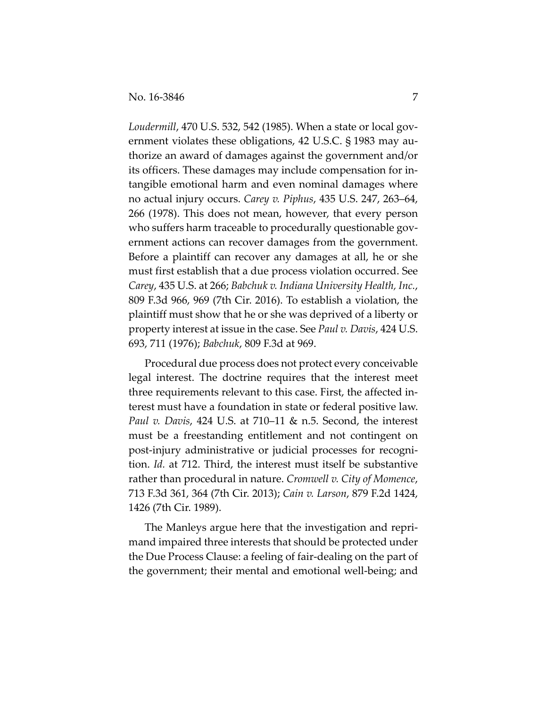*Loudermill*, 470 U.S. 532, 542 (1985). When a state or local gov‐ ernment violates these obligations, 42 U.S.C. § 1983 may authorize an award of damages against the government and/or its officers. These damages may include compensation for in‐ tangible emotional harm and even nominal damages where no actual injury occurs. *Carey v. Piphus*, 435 U.S. 247, 263–64, 266 (1978). This does not mean, however, that every person who suffers harm traceable to procedurally questionable government actions can recover damages from the government. Before a plaintiff can recover any damages at all, he or she must first establish that a due process violation occurred. See *Carey*, 435 U.S. at 266; *Babchuk v. Indiana University Health, Inc.*, 809 F.3d 966, 969 (7th Cir. 2016). To establish a violation, the plaintiff must show that he or she was deprived of a liberty or property interest at issue in the case. See *Paul v. Davis*, 424 U.S. 693, 711 (1976); *Babchuk*, 809 F.3d at 969.

Procedural due process does not protect every conceivable legal interest. The doctrine requires that the interest meet three requirements relevant to this case. First, the affected in‐ terest must have a foundation in state or federal positive law. *Paul v. Davis*, 424 U.S. at 710–11 & n.5. Second, the interest must be a freestanding entitlement and not contingent on post‐injury administrative or judicial processes for recogni‐ tion. *Id.* at 712. Third, the interest must itself be substantive rather than procedural in nature. *Cromwell v. City of Momence*, 713 F.3d 361, 364 (7th Cir. 2013); *Cain v. Larson*, 879 F.2d 1424, 1426 (7th Cir. 1989).

The Manleys argue here that the investigation and repri‐ mand impaired three interests that should be protected under the Due Process Clause: a feeling of fair‐dealing on the part of the government; their mental and emotional well‐being; and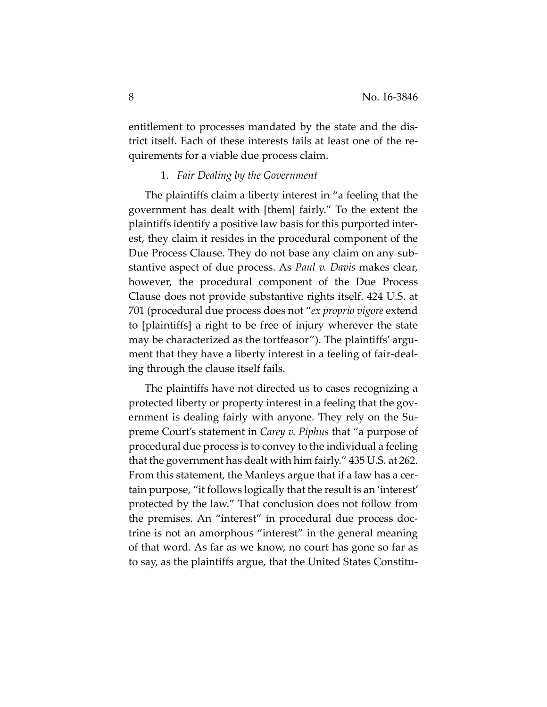entitlement to processes mandated by the state and the dis‐ trict itself. Each of these interests fails at least one of the re‐ quirements for a viable due process claim.

# 1. *Fair Dealing by the Government*

The plaintiffs claim a liberty interest in "a feeling that the government has dealt with [them] fairly." To the extent the plaintiffs identify a positive law basis for this purported inter‐ est, they claim it resides in the procedural component of the Due Process Clause. They do not base any claim on any sub‐ stantive aspect of due process. As *Paul v. Davis* makes clear, however, the procedural component of the Due Process Clause does not provide substantive rights itself. 424 U.S. at 701 (procedural due process does not "*ex proprio vigore* extend to [plaintiffs] a right to be free of injury wherever the state may be characterized as the tortfeasor"). The plaintiffs' argument that they have a liberty interest in a feeling of fair‐deal‐ ing through the clause itself fails.

The plaintiffs have not directed us to cases recognizing a protected liberty or property interest in a feeling that the government is dealing fairly with anyone. They rely on the Su‐ preme Court's statement in *Carey v. Piphus* that "a purpose of procedural due process is to convey to the individual a feeling that the government has dealt with him fairly." 435 U.S*.* at 262. From this statement, the Manleys argue that if a law has a certain purpose, "it follows logically that the result is an 'interest' protected by the law." That conclusion does not follow from the premises. An "interest" in procedural due process doc‐ trine is not an amorphous "interest" in the general meaning of that word. As far as we know, no court has gone so far as to say, as the plaintiffs argue, that the United States Constitu‐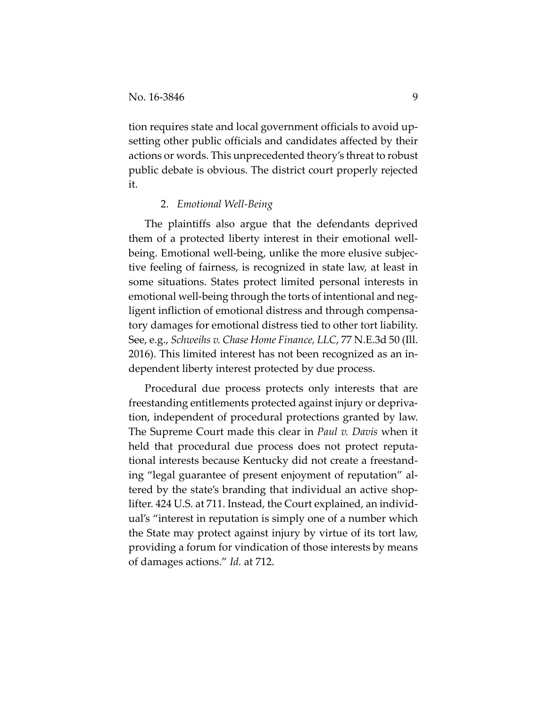tion requires state and local government officials to avoid up‐ setting other public officials and candidates affected by their actions or words. This unprecedented theory's threat to robust public debate is obvious. The district court properly rejected it.

## 2. *Emotional Well‐Being*

The plaintiffs also argue that the defendants deprived them of a protected liberty interest in their emotional well‐ being. Emotional well‐being, unlike the more elusive subjec‐ tive feeling of fairness, is recognized in state law, at least in some situations. States protect limited personal interests in emotional well‐being through the torts of intentional and neg‐ ligent infliction of emotional distress and through compensa‐ tory damages for emotional distress tied to other tort liability. See, e.g., *Schweihs v. Chase Home Finance, LLC*, 77 N.E.3d 50 (Ill. 2016). This limited interest has not been recognized as an in‐ dependent liberty interest protected by due process.

Procedural due process protects only interests that are freestanding entitlements protected against injury or depriva‐ tion, independent of procedural protections granted by law. The Supreme Court made this clear in *Paul v. Davis* when it held that procedural due process does not protect reputational interests because Kentucky did not create a freestand‐ ing "legal guarantee of present enjoyment of reputation" al‐ tered by the state's branding that individual an active shop‐ lifter. 424 U.S. at 711. Instead, the Court explained, an individ‐ ual's "interest in reputation is simply one of a number which the State may protect against injury by virtue of its tort law, providing a forum for vindication of those interests by means of damages actions." *Id.* at 712.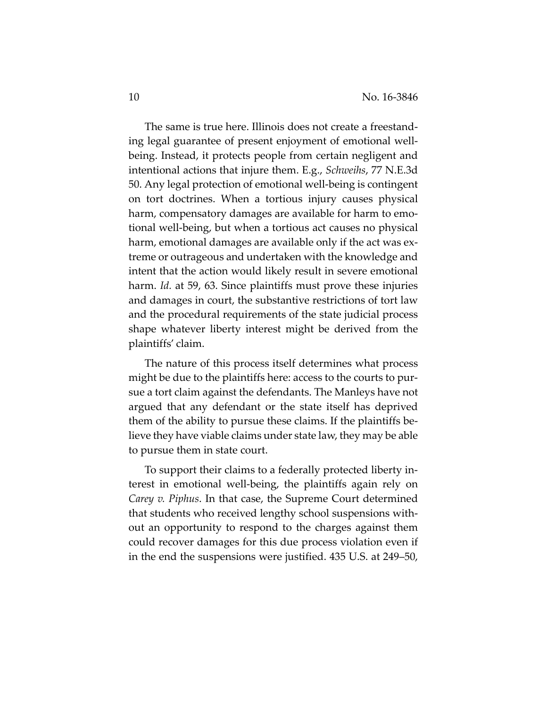The same is true here. Illinois does not create a freestand‐ ing legal guarantee of present enjoyment of emotional well‐ being. Instead, it protects people from certain negligent and intentional actions that injure them. E.g., *Schweihs*, 77 N.E.3d 50. Any legal protection of emotional well‐being is contingent on tort doctrines. When a tortious injury causes physical harm, compensatory damages are available for harm to emotional well‐being, but when a tortious act causes no physical harm, emotional damages are available only if the act was extreme or outrageous and undertaken with the knowledge and intent that the action would likely result in severe emotional harm. *Id.* at 59, 63. Since plaintiffs must prove these injuries and damages in court, the substantive restrictions of tort law and the procedural requirements of the state judicial process shape whatever liberty interest might be derived from the plaintiffs' claim.

The nature of this process itself determines what process might be due to the plaintiffs here: access to the courts to pur‐ sue a tort claim against the defendants. The Manleys have not argued that any defendant or the state itself has deprived them of the ability to pursue these claims. If the plaintiffs be‐ lieve they have viable claims under state law, they may be able to pursue them in state court.

To support their claims to a federally protected liberty in‐ terest in emotional well‐being, the plaintiffs again rely on *Carey v. Piphus*. In that case, the Supreme Court determined that students who received lengthy school suspensions with‐ out an opportunity to respond to the charges against them could recover damages for this due process violation even if in the end the suspensions were justified. 435 U.S. at 249–50,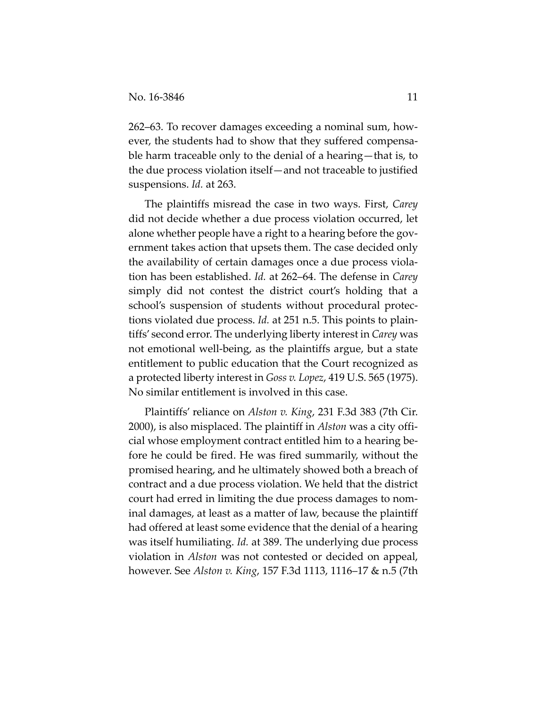262–63. To recover damages exceeding a nominal sum, how‐ ever, the students had to show that they suffered compensa‐ ble harm traceable only to the denial of a hearing—that is, to the due process violation itself—and not traceable to justified suspensions. *Id.* at 263.

The plaintiffs misread the case in two ways. First, *Carey* did not decide whether a due process violation occurred, let alone whether people have a right to a hearing before the gov‐ ernment takes action that upsets them. The case decided only the availability of certain damages once a due process viola‐ tion has been established. *Id.* at 262–64. The defense in *Carey* simply did not contest the district court's holding that a school's suspension of students without procedural protec‐ tions violated due process. *Id.* at 251 n.5. This points to plain‐ tiffs' second error. The underlying liberty interest in *Carey* was not emotional well‐being, as the plaintiffs argue, but a state entitlement to public education that the Court recognized as a protected liberty interest in *Goss v. Lopez*, 419 U.S. 565 (1975). No similar entitlement is involved in this case.

Plaintiffs' reliance on *Alston v. King*, 231 F.3d 383 (7th Cir. 2000), is also misplaced. The plaintiff in *Alston* was a city offi‐ cial whose employment contract entitled him to a hearing be‐ fore he could be fired. He was fired summarily, without the promised hearing, and he ultimately showed both a breach of contract and a due process violation. We held that the district court had erred in limiting the due process damages to nom‐ inal damages, at least as a matter of law, because the plaintiff had offered at least some evidence that the denial of a hearing was itself humiliating. *Id.* at 389. The underlying due process violation in *Alston* was not contested or decided on appeal, however. See *Alston v. King*, 157 F.3d 1113, 1116–17 & n.5 (7th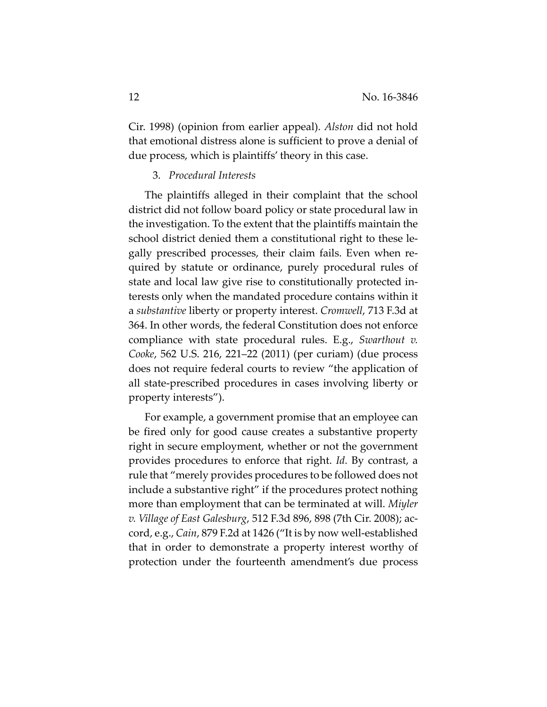Cir. 1998) (opinion from earlier appeal). *Alston* did not hold that emotional distress alone is sufficient to prove a denial of due process, which is plaintiffs' theory in this case.

# 3. *Procedural Interests*

The plaintiffs alleged in their complaint that the school district did not follow board policy or state procedural law in the investigation. To the extent that the plaintiffs maintain the school district denied them a constitutional right to these le‐ gally prescribed processes, their claim fails. Even when re‐ quired by statute or ordinance, purely procedural rules of state and local law give rise to constitutionally protected in‐ terests only when the mandated procedure contains within it a *substantive* liberty or property interest. *Cromwell*, 713 F.3d at 364. In other words, the federal Constitution does not enforce compliance with state procedural rules. E.g., *Swarthout v. Cooke*, 562 U.S. 216, 221–22 (2011) (per curiam) (due process does not require federal courts to review "the application of all state‐prescribed procedures in cases involving liberty or property interests").

For example, a government promise that an employee can be fired only for good cause creates a substantive property right in secure employment, whether or not the government provides procedures to enforce that right. *Id.* By contrast, a rule that "merely provides procedures to be followed does not include a substantive right" if the procedures protect nothing more than employment that can be terminated at will. *Miyler v. Village of East Galesburg*, 512 F.3d 896, 898 (7th Cir. 2008); ac‐ cord, e.g., *Cain*, 879 F.2d at 1426 ("It is by now well‐established that in order to demonstrate a property interest worthy of protection under the fourteenth amendment's due process